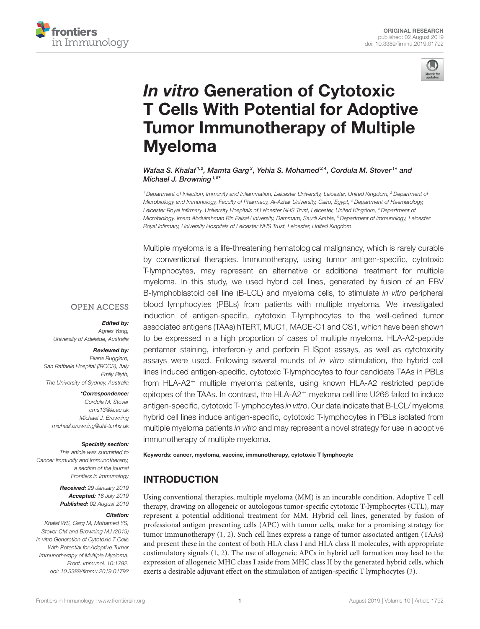



# In vitro Generation of Cytotoxic T Cells With Potential for Adoptive Tumor Immunotherapy of Multiple Myeloma

Wafaa S. Khalaf<sup>1,2</sup>, Mamta Garg<sup>3</sup>, Yehia S. Mohamed<sup>2,4</sup>, Cordula M. Stover<sup>1\*</sup> and Michael J. Browning<sup>1,5\*</sup>

*<sup>1</sup> Department of Infection, Immunity and Inflammation, Leicester University, Leicester, United Kingdom, <sup>2</sup> Department of Microbiology and Immunology, Faculty of Pharmacy, Al-Azhar University, Cairo, Egypt, <sup>3</sup> Department of Haematology, Leicester Royal Infirmary, University Hospitals of Leicester NHS Trust, Leicester, United Kingdom, <sup>4</sup> Department of Microbiology, Imam Abdulrahman Bin Faisal University, Dammam, Saudi Arabia, <sup>5</sup> Department of Immunology, Leicester Royal Infirmary, University Hospitals of Leicester NHS Trust, Leicester, United Kingdom*

Multiple myeloma is a life-threatening hematological malignancy, which is rarely curable by conventional therapies. Immunotherapy, using tumor antigen-specific, cytotoxic T-lymphocytes, may represent an alternative or additional treatment for multiple myeloma. In this study, we used hybrid cell lines, generated by fusion of an EBV B-lymphoblastoid cell line (B-LCL) and myeloma cells, to stimulate *in vitro* peripheral blood lymphocytes (PBLs) from patients with multiple myeloma. We investigated induction of antigen-specific, cytotoxic T-lymphocytes to the well-defined tumor associated antigens (TAAs) hTERT, MUC1, MAGE-C1 and CS1, which have been shown to be expressed in a high proportion of cases of multiple myeloma. HLA-A2-peptide pentamer staining, interferon-γ and perforin ELISpot assays, as well as cytotoxicity assays were used. Following several rounds of *in vitro* stimulation, the hybrid cell lines induced antigen-specific, cytotoxic T-lymphocytes to four candidate TAAs in PBLs from HLA-A2<sup>+</sup> multiple myeloma patients, using known HLA-A2 restricted peptide epitopes of the TAAs. In contrast, the  $HLA-A2$ <sup>+</sup> myeloma cell line U266 failed to induce antigen-specific, cytotoxic T-lymphocytes *in vitro*. Our data indicate that B-LCL/ myeloma hybrid cell lines induce antigen-specific, cytotoxic T-lymphocytes in PBLs isolated from multiple myeloma patients *in vitro* and may represent a novel strategy for use in adoptive immunotherapy of multiple myeloma.

#### Keywords: cancer, myeloma, vaccine, immunotherapy, cytotoxic T lymphocyte

# INTRODUCTION

Using conventional therapies, multiple myeloma (MM) is an incurable condition. Adoptive T cell therapy, drawing on allogeneic or autologous tumor-specific cytotoxic T-lymphocytes (CTL), may represent a potential additional treatment for MM. Hybrid cell lines, generated by fusion of professional antigen presenting cells (APC) with tumor cells, make for a promising strategy for tumor immunotherapy (1, 2). Such cell lines express a range of tumor associated antigen (TAAs) and present these in the context of both HLA class I and HLA class II molecules, with appropriate costimulatory signals (1, 2). The use of allogeneic APCs in hybrid cell formation may lead to the expression of allogeneic MHC class I aside from MHC class II by the generated hybrid cells, which exerts a desirable adjuvant effect on the stimulation of antigen-specific T lymphocytes (3).

#### **OPEN ACCESS**

#### Edited by:

*Agnes Yong, University of Adelaide, Australia*

#### Reviewed by:

*Eliana Ruggiero, San Raffaele Hospital (IRCCS), Italy Emily Blyth, The University of Sydney, Australia*

#### \*Correspondence:

*Cordula M. Stover cms13@le.ac.uk Michael J. Browning michael.browning@uhl-tr.nhs.uk*

#### Specialty section:

*This article was submitted to Cancer Immunity and Immunotherapy, a section of the journal Frontiers in Immunology*

> Received: *29 January 2019* Accepted: *16 July 2019* Published: *02 August 2019*

#### Citation:

*Khalaf WS, Garg M, Mohamed YS, Stover CM and Browning MJ (2019) In vitro Generation of Cytotoxic T Cells With Potential for Adoptive Tumor Immunotherapy of Multiple Myeloma. Front. Immunol. 10:1792. doi: 10.3389/fimmu.2019.01792*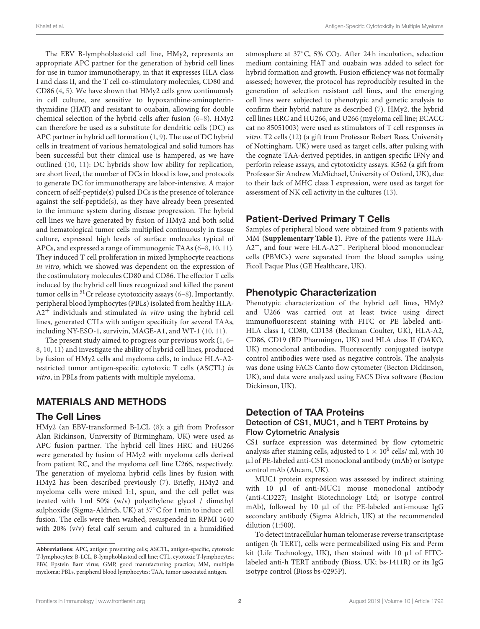The EBV B-lymphoblastoid cell line, HMy2, represents an appropriate APC partner for the generation of hybrid cell lines for use in tumor immunotherapy, in that it expresses HLA class I and class II, and the T cell co-stimulatory molecules, CD80 and CD86 (4, 5). We have shown that HMy2 cells grow continuously in cell culture, are sensitive to hypoxanthine-aminopterinthymidine (HAT) and resistant to ouabain, allowing for double chemical selection of the hybrid cells after fusion (6–8). HMy2 can therefore be used as a substitute for dendritic cells (DC) as APC partner in hybrid cell formation (1, 9). The use of DC hybrid cells in treatment of various hematological and solid tumors has been successful but their clinical use is hampered, as we have outlined (10, 11): DC hybrids show low ability for replication, are short lived, the number of DCs in blood is low, and protocols to generate DC for immunotherapy are labor-intensive. A major concern of self-peptide(s) pulsed DCs is the presence of tolerance against the self-peptide(s), as they have already been presented to the immune system during disease progression. The hybrid cell lines we have generated by fusion of HMy2 and both solid and hematological tumor cells multiplied continuously in tissue culture, expressed high levels of surface molecules typical of APCs, and expressed a range of immunogenic TAAs (6–8, 10, 11). They induced T cell proliferation in mixed lymphocyte reactions in vitro, which we showed was dependent on the expression of the costimulatory molecules CD80 and CD86. The effector T cells induced by the hybrid cell lines recognized and killed the parent tumor cells in <sup>51</sup>Cr release cytotoxicity assays (6–8). Importantly, peripheral blood lymphocytes (PBLs) isolated from healthy HLA- $A2^+$  individuals and stimulated *in vitro* using the hybrid cell lines, generated CTLs with antigen specificity for several TAAs, including NY-ESO-1, survivin, MAGE-A1, and WT-1 (10, 11).

The present study aimed to progress our previous work (1, 6– 8, 10, 11) and investigate the ability of hybrid cell lines, produced by fusion of HMy2 cells and myeloma cells, to induce HLA-A2 restricted tumor antigen-specific cytotoxic T cells (ASCTL) in vitro, in PBLs from patients with multiple myeloma.

# MATERIALS AND METHODS

### The Cell Lines

HMy2 (an EBV-transformed B-LCL (8); a gift from Professor Alan Rickinson, University of Birmingham, UK) were used as APC fusion partner. The hybrid cell lines HRC and HU266 were generated by fusion of HMy2 with myeloma cells derived from patient RC, and the myeloma cell line U266, respectively. The generation of myeloma hybrid cells lines by fusion with HMy2 has been described previously (7). Briefly, HMy2 and myeloma cells were mixed 1:1, spun, and the cell pellet was treated with 1 ml 50% (w/v) polyethylene glycol / dimethyl sulphoxide (Sigma-Aldrich, UK) at 37◦C for 1 min to induce cell fusion. The cells were then washed, resuspended in RPMI 1640 with 20% (v/v) fetal calf serum and cultured in a humidified atmosphere at  $37^{\circ}$ C, 5% CO<sub>2</sub>. After 24 h incubation, selection medium containing HAT and ouabain was added to select for hybrid formation and growth. Fusion efficiency was not formally assessed; however, the protocol has reproducibly resulted in the generation of selection resistant cell lines, and the emerging cell lines were subjected to phenotypic and genetic analysis to confirm their hybrid nature as described (7). HMy2, the hybrid cell lines HRC and HU266, and U266 (myeloma cell line; ECACC cat no 85051003) were used as stimulators of T cell responses in vitro. T2 cells (12) (a gift from Professor Robert Rees, University of Nottingham, UK) were used as target cells, after pulsing with the cognate TAA-derived peptides, in antigen specific IFNγ and perforin release assays, and cytotoxicity assays. K562 (a gift from Professor Sir Andrew McMichael, University of Oxford, UK), due to their lack of MHC class I expression, were used as target for assessment of NK cell activity in the cultures (13).

# Patient-Derived Primary T Cells

Samples of peripheral blood were obtained from 9 patients with MM (**Supplementary Table 1**). Five of the patients were HLA-A2<sup>+</sup>, and four were HLA-A2<sup>-</sup>. Peripheral blood mononuclear cells (PBMCs) were separated from the blood samples using Ficoll Paque Plus (GE Healthcare, UK).

# Phenotypic Characterization

Phenotypic characterization of the hybrid cell lines, HMy2 and U266 was carried out at least twice using direct immunofluorescent staining with FITC or PE labeled anti-HLA class I, CD80, CD138 (Beckman Coulter, UK), HLA-A2, CD86, CD19 (BD Pharmingen, UK) and HLA class II (DAKO, UK) monoclonal antibodies. Fluorescently conjugated isotype control antibodies were used as negative controls. The analysis was done using FACS Canto flow cytometer (Becton Dickinson, UK), and data were analyzed using FACS Diva software (Becton Dickinson, UK).

# Detection of TAA Proteins

### Detection of CS1, MUC1, and h TERT Proteins by Flow Cytometric Analysis

CS1 surface expression was determined by flow cytometric analysis after staining cells, adjusted to  $1 \times 10^6$  cells/ ml, with 10 µl of PE-labeled anti-CS1 monoclonal antibody (mAb) or isotype control mAb (Abcam, UK).

MUC1 protein expression was assessed by indirect staining with 10 µl of anti-MUC1 mouse monoclonal antibody (anti-CD227; Insight Biotechnology Ltd; or isotype control mAb), followed by 10 µl of the PE-labeled anti-mouse IgG secondary antibody (Sigma Aldrich, UK) at the recommended dilution (1:500).

To detect intracellular human telomerase reverse transcriptase antigen (h TERT), cells were permeabilized using Fix and Perm kit (Life Technology, UK), then stained with 10  $\mu$ l of FITClabeled anti-h TERT antibody (Bioss, UK; bs-1411R) or its IgG isotype control (Bioss bs-0295P).

**Abbreviations:** APC, antigen presenting cells; ASCTL, antigen-specific, cytotoxic T-lymphocytes; B-LCL, B-lymphoblastoid cell line; CTL, cytotoxic T-lymphocytes; EBV, Epstein Barr virus; GMP, good manufacturing practice; MM, multiple myeloma; PBLs, peripheral blood lymphocytes; TAA, tumor associated antigen.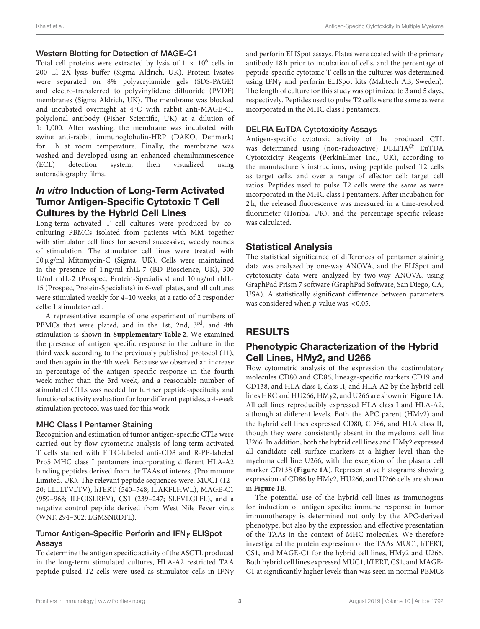### Western Blotting for Detection of MAGE-C1

Total cell proteins were extracted by lysis of  $1 \times 10^6$  cells in 200 µl 2X lysis buffer (Sigma Aldrich, UK). Protein lysates were separated on 8% polyacrylamide gels (SDS-PAGE) and electro-transferred to polyvinylidene difluoride (PVDF) membranes (Sigma Aldrich, UK). The membrane was blocked and incubated overnight at 4◦C with rabbit anti-MAGE-C1 polyclonal antibody (Fisher Scientific, UK) at a dilution of 1: 1,000. After washing, the membrane was incubated with swine anti-rabbit immunoglobulin-HRP (DAKO, Denmark) for 1h at room temperature. Finally, the membrane was washed and developed using an enhanced chemiluminescence (ECL) detection system, then visualized using autoradiography films.

# In vitro Induction of Long-Term Activated Tumor Antigen-Specific Cytotoxic T Cell Cultures by the Hybrid Cell Lines

Long-term activated T cell cultures were produced by coculturing PBMCs isolated from patients with MM together with stimulator cell lines for several successive, weekly rounds of stimulation. The stimulator cell lines were treated with 50µg/ml Mitomycin-C (Sigma, UK). Cells were maintained in the presence of 1 ng/ml rhIL-7 (BD Bioscience, UK), 300 U/ml rhIL-2 (Prospec, Protein-Specialists) and 10 ng/ml rhIL-15 (Prospec, Protein-Specialists) in 6-well plates, and all cultures were stimulated weekly for 4–10 weeks, at a ratio of 2 responder cells: 1 stimulator cell.

A representative example of one experiment of numbers of PBMCs that were plated, and in the 1st, 2nd, 3<sup>rd</sup>, and 4th stimulation is shown in **Supplementary Table 2**. We examined the presence of antigen specific response in the culture in the third week according to the previously published protocol (11), and then again in the 4th week. Because we observed an increase in percentage of the antigen specific response in the fourth week rather than the 3rd week, and a reasonable number of stimulated CTLs was needed for further peptide-specificity and functional activity evaluation for four different peptides, a 4-week stimulation protocol was used for this work.

### MHC Class I Pentamer Staining

Recognition and estimation of tumor antigen-specific CTLs were carried out by flow cytometric analysis of long-term activated T cells stained with FITC-labeled anti-CD8 and R-PE-labeled Pro5 MHC class I pentamers incorporating different HLA-A2 binding peptides derived from the TAAs of interest (Proimmune Limited, UK). The relevant peptide sequences were: MUC1 (12– 20; LLLLTVLTV), hTERT (540–548; ILAKFLHWL), MAGE-C1 (959–968; ILFGISLREV), CS1 (239–247; SLFVLGLFL), and a negative control peptide derived from West Nile Fever virus (WNF, 294–302; LGMSNRDFL).

### Tumor Antigen-Specific Perforin and IFNγ ELISpot Assays

To determine the antigen specific activity of the ASCTL produced in the long-term stimulated cultures, HLA-A2 restricted TAA peptide-pulsed T2 cells were used as stimulator cells in IFNγ and perforin ELISpot assays. Plates were coated with the primary antibody 18 h prior to incubation of cells, and the percentage of peptide-specific cytotoxic T cells in the cultures was determined using IFNγ and perforin ELISpot kits (Mabtech AB, Sweden). The length of culture for this study was optimized to 3 and 5 days, respectively. Peptides used to pulse T2 cells were the same as were incorporated in the MHC class I pentamers.

### DELFIA EuTDA Cytotoxicity Assays

Antigen-specific cytotoxic activity of the produced CTL was determined using (non-radioactive)  $DELFIA^{(8)}$  EuTDA Cytotoxicity Reagents (PerkinElmer Inc., UK), according to the manufacturer's instructions, using peptide pulsed T2 cells as target cells, and over a range of effector cell: target cell ratios. Peptides used to pulse T2 cells were the same as were incorporated in the MHC class I pentamers. After incubation for 2 h, the released fluorescence was measured in a time-resolved fluorimeter (Horiba, UK), and the percentage specific release was calculated.

# Statistical Analysis

The statistical significance of differences of pentamer staining data was analyzed by one-way ANOVA, and the ELISpot and cytotoxicity data were analyzed by two-way ANOVA, using GraphPad Prism 7 software (GraphPad Software, San Diego, CA, USA). A statistically significant difference between parameters was considered when  $p$ -value was <0.05.

# RESULTS

# Phenotypic Characterization of the Hybrid Cell Lines, HMy2, and U266

Flow cytometric analysis of the expression the costimulatory molecules CD80 and CD86, lineage-specific markers CD19 and CD138, and HLA class I, class II, and HLA-A2 by the hybrid cell lines HRC and HU266, HMy2, and U266 are shown in **Figure 1A**. All cell lines reproducibly expressed HLA class I and HLA-A2, although at different levels. Both the APC parent (HMy2) and the hybrid cell lines expressed CD80, CD86, and HLA class II, though they were consistently absent in the myeloma cell line U266. In addition, both the hybrid cell lines and HMy2 expressed all candidate cell surface markers at a higher level than the myeloma cell line U266, with the exception of the plasma cell marker CD138 (**Figure 1A**). Representative histograms showing expression of CD86 by HMy2, HU266, and U266 cells are shown in **Figure 1B**.

The potential use of the hybrid cell lines as immunogens for induction of antigen specific immune response in tumor immunotherapy is determined not only by the APC-derived phenotype, but also by the expression and effective presentation of the TAAs in the context of MHC molecules. We therefore investigated the protein expression of the TAAs MUC1, hTERT, CS1, and MAGE-C1 for the hybrid cell lines, HMy2 and U266. Both hybrid cell lines expressed MUC1, hTERT, CS1, and MAGE-C1 at significantly higher levels than was seen in normal PBMCs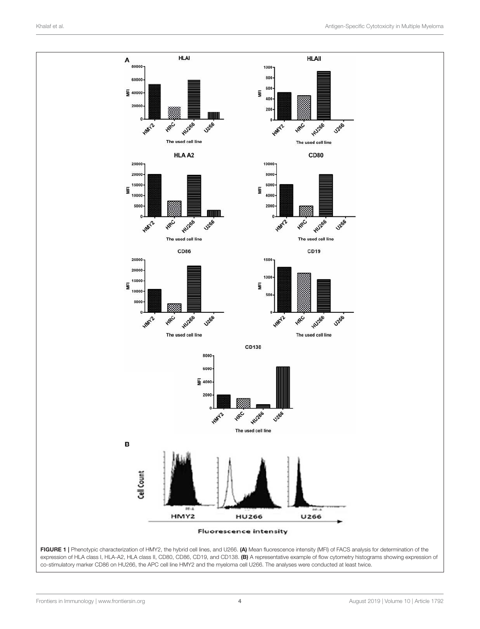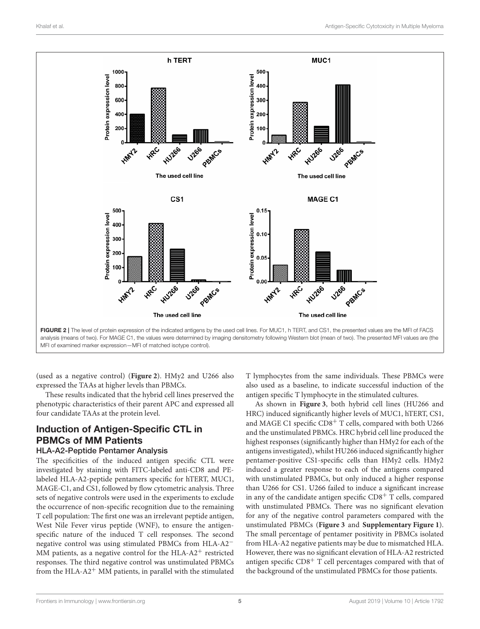

(used as a negative control) (**Figure 2**). HMy2 and U266 also expressed the TAAs at higher levels than PBMCs.

These results indicated that the hybrid cell lines preserved the phenotypic characteristics of their parent APC and expressed all four candidate TAAs at the protein level.

# Induction of Antigen-Specific CTL in PBMCs of MM Patients

#### HLA-A2-Peptide Pentamer Analysis

The specificities of the induced antigen specific CTL were investigated by staining with FITC-labeled anti-CD8 and PElabeled HLA-A2-peptide pentamers specific for hTERT, MUC1, MAGE-C1, and CS1, followed by flow cytometric analysis. Three sets of negative controls were used in the experiments to exclude the occurrence of non-specific recognition due to the remaining T cell population: The first one was an irrelevant peptide antigen, West Nile Fever virus peptide (WNF), to ensure the antigenspecific nature of the induced T cell responses. The second negative control was using stimulated PBMCs from HLA-A2<sup>−</sup> MM patients, as a negative control for the HLA- $A2^+$  restricted responses. The third negative control was unstimulated PBMCs from the HLA- $A2^+$  MM patients, in parallel with the stimulated T lymphocytes from the same individuals. These PBMCs were also used as a baseline, to indicate successful induction of the antigen specific T lymphocyte in the stimulated cultures.

As shown in **Figure 3**, both hybrid cell lines (HU266 and HRC) induced significantly higher levels of MUC1, hTERT, CS1, and MAGE C1 specific CD8<sup>+</sup> T cells, compared with both U266 and the unstimulated PBMCs. HRC hybrid cell line produced the highest responses (significantly higher than HMy2 for each of the antigens investigated), whilst HU266 induced significantly higher pentamer-positive CS1-specific cells than HMy2 cells. HMy2 induced a greater response to each of the antigens compared with unstimulated PBMCs, but only induced a higher response than U266 for CS1. U266 failed to induce a significant increase in any of the candidate antigen specific  $CD8<sup>+</sup>$  T cells, compared with unstimulated PBMCs. There was no significant elevation for any of the negative control parameters compared with the unstimulated PBMCs (**Figure 3** and **Supplementary Figure 1**). The small percentage of pentamer positivity in PBMCs isolated from HLA-A2 negative patients may be due to mismatched HLA. However, there was no significant elevation of HLA-A2 restricted antigen specific  $CD8<sup>+</sup>$  T cell percentages compared with that of the background of the unstimulated PBMCs for those patients.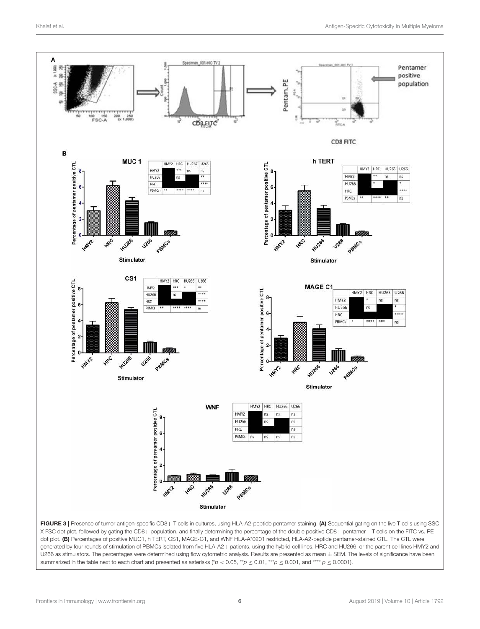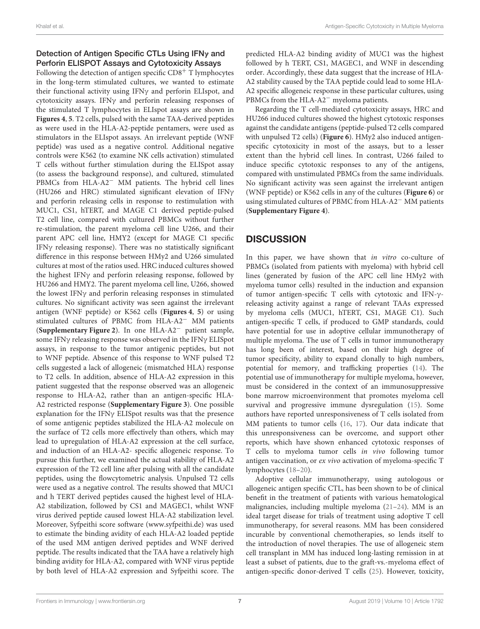# Detection of Antigen Specific CTLs Using IFN<sub>γ</sub> and Perforin ELISPOT Assays and Cytotoxicity Assays

Following the detection of antigen specific  $CD8<sup>+</sup>$  T lymphocytes in the long-term stimulated cultures, we wanted to estimate their functional activity using IFNγ and perforin ELIspot, and cytotoxicity assays. IFNγ and perforin releasing responses of the stimulated T lymphocytes in ELIspot assays are shown in **Figures 4**, **5**. T2 cells, pulsed with the same TAA-derived peptides as were used in the HLA-A2-peptide pentamers, were used as stimulators in the ELIspot assays. An irrelevant peptide (WNF peptide) was used as a negative control. Additional negative controls were K562 (to examine NK cells activation) stimulated T cells without further stimulation during the ELISpot assay (to assess the background response), and cultured, stimulated PBMCs from HLA-A2<sup>−</sup> MM patients. The hybrid cell lines (HU266 and HRC) stimulated significant elevation of IFNγ and perforin releasing cells in response to restimulation with MUC1, CS1, hTERT, and MAGE C1 derived peptide-pulsed T2 cell line, compared with cultured PBMCs without further re-stimulation, the parent myeloma cell line U266, and their parent APC cell line, HMY2 (except for MAGE C1 specific IFNγ releasing response). There was no statistically significant difference in this response between HMy2 and U266 simulated cultures at most of the ratios used. HRC induced cultures showed the highest IFNγ and perforin releasing response, followed by HU266 and HMY2. The parent myeloma cell line, U266, showed the lowest IFN $\gamma$  and perforin releasing responses in stimulated cultures. No significant activity was seen against the irrelevant antigen (WNF peptide) or K562 cells (**Figures 4**, **5**) or using stimulated cultures of PBMC from HLA-A2<sup>−</sup> MM patients (**Supplementary Figure 2**). In one HLA-A2<sup>−</sup> patient sample, some IFNγ releasing response was observed in the IFNγ ELISpot assays, in response to the tumor antigenic peptides, but not to WNF peptide. Absence of this response to WNF pulsed T2 cells suggested a lack of allogeneic (mismatched HLA) response to T2 cells. In addition, absence of HLA-A2 expression in this patient suggested that the response observed was an allogeneic response to HLA-A2, rather than an antigen-specific HLA-A2 restricted response (**Supplementary Figure 3**). One possible explanation for the IFNγ ELISpot results was that the presence of some antigenic peptides stabilized the HLA-A2 molecule on the surface of T2 cells more effectively than others, which may lead to upregulation of HLA-A2 expression at the cell surface, and induction of an HLA-A2- specific allogeneic response. To pursue this further, we examined the actual stability of HLA-A2 expression of the T2 cell line after pulsing with all the candidate peptides, using the flowcytometric analysis. Unpulsed T2 cells were used as a negative control. The results showed that MUC1 and h TERT derived peptides caused the highest level of HLA-A2 stabilization, followed by CS1 and MAGEC1, whilst WNF virus derived peptide caused lowest HLA-A2 stabilization level. Moreover, Syfpeithi score software (www.syfpeithi.de) was used to estimate the binding avidity of each HLA-A2 loaded peptide of the used MM antigen derived peptides and WNF derived peptide. The results indicated that the TAA have a relatively high binding avidity for HLA-A2, compared with WNF virus peptide by both level of HLA-A2 expression and Syfpeithi score. The predicted HLA-A2 binding avidity of MUC1 was the highest followed by h TERT, CS1, MAGEC1, and WNF in descending order. Accordingly, these data suggest that the increase of HLA-A2 stability caused by the TAA peptide could lead to some HLA-A2 specific allogeneic response in these particular cultures, using PBMCs from the HLA-A2<sup>−</sup> myeloma patients.

Regarding the T cell-mediated cytotoxicity assays, HRC and HU266 induced cultures showed the highest cytotoxic responses against the candidate antigens (peptide-pulsed T2 cells compared with unpulsed T2 cells) (**Figure 6**). HMy2 also induced antigenspecific cytotoxicity in most of the assays, but to a lesser extent than the hybrid cell lines. In contrast, U266 failed to induce specific cytotoxic responses to any of the antigens, compared with unstimulated PBMCs from the same individuals. No significant activity was seen against the irrelevant antigen (WNF peptide) or K562 cells in any of the cultures (**Figure 6**) or using stimulated cultures of PBMC from HLA-A2<sup>−</sup> MM patients (**Supplementary Figure 4**).

# **DISCUSSION**

In this paper, we have shown that in vitro co-culture of PBMCs (isolated from patients with myeloma) with hybrid cell lines (generated by fusion of the APC cell line HMy2 with myeloma tumor cells) resulted in the induction and expansion of tumor antigen-specific T cells with cytotoxic and IFN-γreleasing activity against a range of relevant TAAs expressed by myeloma cells (MUC1, hTERT, CS1, MAGE C1). Such antigen-specific T cells, if produced to GMP standards, could have potential for use in adoptive cellular immunotherapy of multiple myeloma. The use of T cells in tumor immunotherapy has long been of interest, based on their high degree of tumor specificity, ability to expand clonally to high numbers, potential for memory, and trafficking properties (14). The potential use of immunotherapy for multiple myeloma, however, must be considered in the context of an immunosuppressive bone marrow microenvironment that promotes myeloma cell survival and progressive immune dysregulation (15). Some authors have reported unresponsiveness of T cells isolated from MM patients to tumor cells (16, 17). Our data indicate that this unresponsiveness can be overcome, and support other reports, which have shown enhanced cytotoxic responses of T cells to myeloma tumor cells in vivo following tumor antigen vaccination, or ex vivo activation of myeloma-specific T lymphocytes (18–20).

Adoptive cellular immunotherapy, using autologous or allogeneic antigen specific CTL, has been shown to be of clinical benefit in the treatment of patients with various hematological malignancies, including multiple myeloma (21–24). MM is an ideal target disease for trials of treatment using adoptive T cell immunotherapy, for several reasons. MM has been considered incurable by conventional chemotherapies, so lends itself to the introduction of novel therapies. The use of allogeneic stem cell transplant in MM has induced long-lasting remission in at least a subset of patients, due to the graft-vs.-myeloma effect of antigen-specific donor-derived T cells (25). However, toxicity,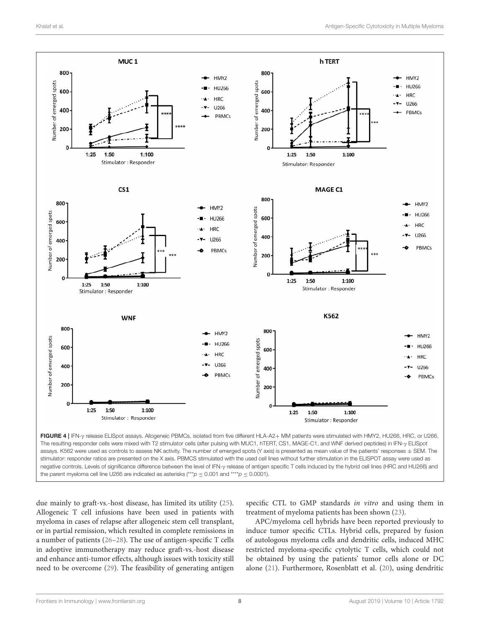

assays. K562 were used as controls to assess NK activity. The number of emerged spots (Y axis) is presented as mean value of the patients' responses ± SEM. The stimulator: responder ratios are presented on the X axis. PBMCS stimulated with the used cell lines without further stimulation in the ELISPOT assay were used as negative controls. Levels of significance difference between the level of IFN-γ release of antigen specific T cells induced by the hybrid cell lines (HRC and HU266) and the parent myeloma cell line U266 are indicated as asterisks (\*\*\* $p \le 0.001$  and \*\*\*\* $p \le 0.0001$ ).

due mainly to graft-vs.-host disease, has limited its utility (25). Allogeneic T cell infusions have been used in patients with myeloma in cases of relapse after allogeneic stem cell transplant, or in partial remission, which resulted in complete remissions in a number of patients (26–28). The use of antigen-specific T cells in adoptive immunotherapy may reduce graft-vs.-host disease and enhance anti-tumor effects, although issues with toxicity still need to be overcome (29). The feasibility of generating antigen

specific CTL to GMP standards in vitro and using them in treatment of myeloma patients has been shown (23).

APC/myeloma cell hybrids have been reported previously to induce tumor specific CTLs. Hybrid cells, prepared by fusion of autologous myeloma cells and dendritic cells, induced MHC restricted myeloma-specific cytolytic T cells, which could not be obtained by using the patients' tumor cells alone or DC alone (21). Furthermore, Rosenblatt et al. (20), using dendritic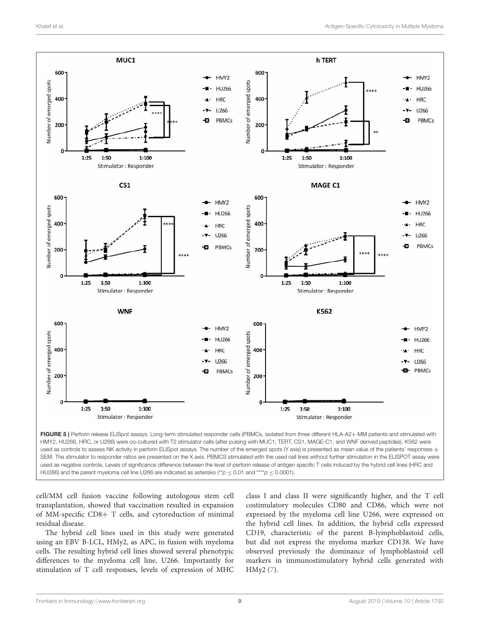

HMY2, HU266, HRC, or U266) were co-cultured with T2 stimulator cells (after pulsing with MUC1, TERT, CS1, MAGE-C1, and WNF derived peptides). K562 were used as controls to assess NK activity in perforin ELISpot assays. The number of the emerged spots (Y axis) is presented as mean value of the patients' responses  $\pm$ SEM. The stimulator to responder ratios are presented on the X axis. PBMCS stimulated with the used cell lines without further stimulation in the ELISPOT assay were used as negative controls. Levels of significance difference between the level of perforin release of antigen specific T cells induced by the hybrid cell lines (HRC and HU266) and the parent myeloma cell line U266 are indicated as asterisks (\*\**p* ≤ 0.01 and \*\*\*\**p* ≤ 0.0001).

cell/MM cell fusion vaccine following autologous stem cell transplantation, showed that vaccination resulted in expansion of MM-specific CD8+ T cells, and cytoreduction of minimal residual disease.

The hybrid cell lines used in this study were generated using an EBV B-LCL, HMy2, as APC, in fusion with myeloma cells. The resulting hybrid cell lines showed several phenotypic differences to the myeloma cell line, U266. Importantly for stimulation of T cell responses, levels of expression of MHC

class I and class II were significantly higher, and the T cell costimulatory molecules CD80 and CD86, which were not expressed by the myeloma cell line U266, were expressed on the hybrid cell lines. In addition, the hybrid cells expressed CD19, characteristic of the parent B-lymphoblastoid cells, but did not express the myeloma marker CD138. We have observed previously the dominance of lymphoblastoid cell markers in immunostimulatory hybrid cells generated with HMy2 (7).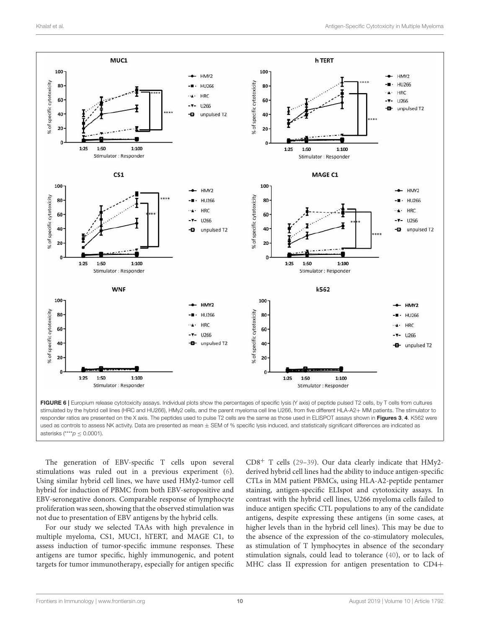

asterisks (\*\*\*\**p* ≤ 0.0001).

The generation of EBV-specific T cells upon several stimulations was ruled out in a previous experiment (6). Using similar hybrid cell lines, we have used HMy2-tumor cell hybrid for induction of PBMC from both EBV-seropositive and EBV-seronegative donors. Comparable response of lymphocyte proliferation was seen, showing that the observed stimulation was not due to presentation of EBV antigens by the hybrid cells.

For our study we selected TAAs with high prevalence in multiple myeloma, CS1, MUC1, hTERT, and MAGE C1, to assess induction of tumor-specific immune responses. These antigens are tumor specific, highly immunogenic, and potent targets for tumor immunotherapy, especially for antigen specific  $CD8<sup>+</sup>$  T cells (29-39). Our data clearly indicate that HMy2derived hybrid cell lines had the ability to induce antigen-specific CTLs in MM patient PBMCs, using HLA-A2-peptide pentamer staining, antigen-specific ELIspot and cytotoxicity assays. In contrast with the hybrid cell lines, U266 myeloma cells failed to induce antigen specific CTL populations to any of the candidate antigens, despite expressing these antigens (in some cases, at higher levels than in the hybrid cell lines). This may be due to the absence of the expression of the co-stimulatory molecules, as stimulation of T lymphocytes in absence of the secondary stimulation signals, could lead to tolerance (40), or to lack of MHC class II expression for antigen presentation to CD4+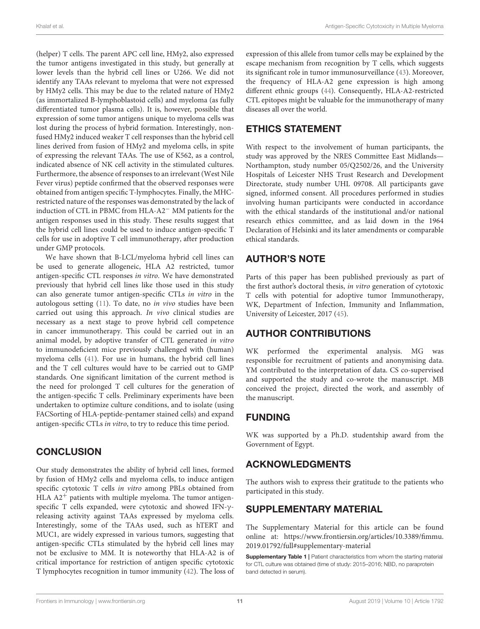(helper) T cells. The parent APC cell line, HMy2, also expressed the tumor antigens investigated in this study, but generally at lower levels than the hybrid cell lines or U266. We did not identify any TAAs relevant to myeloma that were not expressed by HMy2 cells. This may be due to the related nature of HMy2 (as immortalized B-lymphoblastoid cells) and myeloma (as fully differentiated tumor plasma cells). It is, however, possible that expression of some tumor antigens unique to myeloma cells was lost during the process of hybrid formation. Interestingly, nonfused HMy2 induced weaker T cell responses than the hybrid cell lines derived from fusion of HMy2 and myeloma cells, in spite of expressing the relevant TAAs. The use of K562, as a control, indicated absence of NK cell activity in the stimulated cultures. Furthermore, the absence of responses to an irrelevant (West Nile Fever virus) peptide confirmed that the observed responses were obtained from antigen specific T-lymphocytes. Finally, the MHCrestricted nature of the responses was demonstrated by the lack of induction of CTL in PBMC from HLA-A2<sup>−</sup> MM patients for the antigen responses used in this study. These results suggest that the hybrid cell lines could be used to induce antigen-specific T cells for use in adoptive T cell immunotherapy, after production under GMP protocols.

We have shown that B-LCL/myeloma hybrid cell lines can be used to generate allogeneic, HLA A2 restricted, tumor antigen-specific CTL responses in vitro. We have demonstrated previously that hybrid cell lines like those used in this study can also generate tumor antigen-specific CTLs in vitro in the autologous setting (11). To date, no in vivo studies have been carried out using this approach. In vivo clinical studies are necessary as a next stage to prove hybrid cell competence in cancer immunotherapy. This could be carried out in an animal model, by adoptive transfer of CTL generated in vitro to immunodeficient mice previously challenged with (human) myeloma cells (41). For use in humans, the hybrid cell lines and the T cell cultures would have to be carried out to GMP standards. One significant limitation of the current method is the need for prolonged T cell cultures for the generation of the antigen-specific T cells. Preliminary experiments have been undertaken to optimize culture conditions, and to isolate (using FACSorting of HLA-peptide-pentamer stained cells) and expand antigen-specific CTLs in vitro, to try to reduce this time period.

# **CONCLUSION**

Our study demonstrates the ability of hybrid cell lines, formed by fusion of HMy2 cells and myeloma cells, to induce antigen specific cytotoxic T cells in vitro among PBLs obtained from HLA  $A2$ <sup>+</sup> patients with multiple myeloma. The tumor antigenspecific T cells expanded, were cytotoxic and showed IFN-γreleasing activity against TAAs expressed by myeloma cells. Interestingly, some of the TAAs used, such as hTERT and MUC1, are widely expressed in various tumors, suggesting that antigen-specific CTLs stimulated by the hybrid cell lines may not be exclusive to MM. It is noteworthy that HLA-A2 is of critical importance for restriction of antigen specific cytotoxic T lymphocytes recognition in tumor immunity (42). The loss of expression of this allele from tumor cells may be explained by the escape mechanism from recognition by T cells, which suggests its significant role in tumor immunosurveillance (43). Moreover, the frequency of HLA-A2 gene expression is high among different ethnic groups (44). Consequently, HLA-A2-restricted CTL epitopes might be valuable for the immunotherapy of many diseases all over the world.

# ETHICS STATEMENT

With respect to the involvement of human participants, the study was approved by the NRES Committee East Midlands— Northampton, study number 05/Q2502/26, and the University Hospitals of Leicester NHS Trust Research and Development Directorate, study number UHL 09708. All participants gave signed, informed consent. All procedures performed in studies involving human participants were conducted in accordance with the ethical standards of the institutional and/or national research ethics committee, and as laid down in the 1964 Declaration of Helsinki and its later amendments or comparable ethical standards.

# AUTHOR'S NOTE

Parts of this paper has been published previously as part of the first author's doctoral thesis, in vitro generation of cytotoxic T cells with potential for adoptive tumor Immunotherapy, WK, Department of Infection, Immunity and Inflammation, University of Leicester, 2017 (45).

# AUTHOR CONTRIBUTIONS

WK performed the experimental analysis. MG was responsible for recruitment of patients and anonymising data. YM contributed to the interpretation of data. CS co-supervised and supported the study and co-wrote the manuscript. MB conceived the project, directed the work, and assembly of the manuscript.

# FUNDING

WK was supported by a Ph.D. studentship award from the Government of Egypt.

# ACKNOWLEDGMENTS

The authors wish to express their gratitude to the patients who participated in this study.

# SUPPLEMENTARY MATERIAL

The Supplementary Material for this article can be found online at: https://www.frontiersin.org/articles/10.3389/fimmu. 2019.01792/full#supplementary-material

Supplementary Table 1 | Patient characteristics from whom the starting material for CTL culture was obtained (time of study: 2015–2016; NBD, no paraprotein band detected in serum).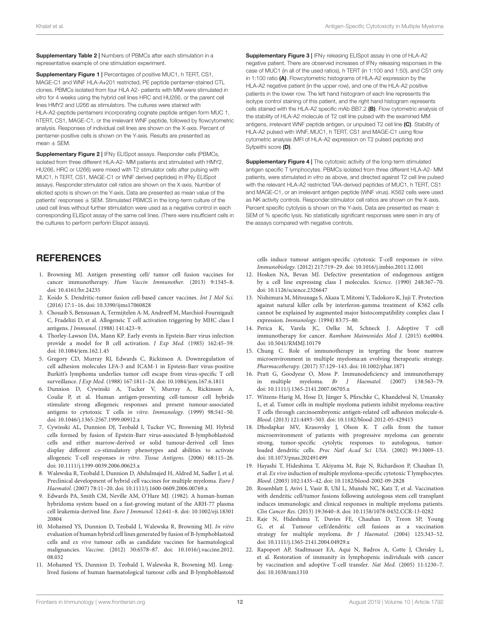Supplementary Table 2 | Numbers of PBMCs after each stimulation in a representative example of one stimulation experiment.

Supplementary Figure 1 | Percentages of positive MUC1, h TERT, CS1, MAGE-C1 and WNF HLA-A∗201 restricted, PE peptide pentamer-stained CTL clones. PBMCs isolated from four HLA A2- patients with MM were stimulated *in vitro* for 4 weeks using the hybrid cell lines HRC and HU266, or the parent cell lines HMY2 and U266 as stimulators. The cultures were stained with HLA-A2-peptide pentamers incorporating cognate peptide antigen form MUC 1, hTERT, CS1, MAGE-C1, or the irrelevant WNF peptide, followed by flowcytometric analysis. Responses of individual cell lines are shown on the X-axis. Percent of pentamer-positive cells is shown on the Y-axis. Results are presented as  $mean + SFM$ 

Supplementary Figure 2 | IFNγ ELISpot assays. Responder cells (PBMCs, isolated from three different HLA-A2- MM patients and stimulated with HMY2, HU266, HRC or U266) were mixed with T2 stimulator cells after pulsing with MUC1, h TERT, CS1, MAGE-C1 or WNF derived peptides) in IFNγ ELISpot assays. Responder:stimulator cell ratios are shown on the X-axis. Number of elicited spots is shown on the Y-axis. Data are presented as mean value of the patients' responses  $\pm$  SEM. Stimulated PBMCS in the long-term culture of the used cell lines without further stimulation were used as a negative control in each corresponding ELISpot assay of the same cell lines. (There were insufficient cells in the cultures to perform perforin Elispot assays).

# **REFERENCES**

- 1. Browning MJ. Antigen presenting cell/ tumor cell fusion vaccines for cancer immunotherapy. Hum Vaccin Immunother. (2013) 9:1545–8. doi: 10.4161/hv.24235
- 2. Koido S. Dendritic-tumor fusion cell-based cancer vaccines. Int J Mol Sci. (2016) 17:1–16. doi: 10.3390/ijms17060828
- 3. Chouaib S, Bensussan A, Termijtelen A-M, Andreeff M, Marchiol-Fournigault C, Fradelizi D, et al. Allogeneic T cell activation triggering by MHC class I antigens. J Immunol. (1988) 141:423–9.
- 4. Thorley-Lawson DA, Mann KP. Early events in Epstein-Barr virus infection provide a model for B cell activation. J Exp Med. (1985) 162:45–59. doi: 10.1084/jem.162.1.45
- 5. Gregory CD, Murray RJ, Edwards C, Rickinson A. Downregulation of cell adhesion molecules LFA-3 and ICAM-1 in Epstein-Barr virus-positive Burkitt's lymphoma underlies tumor cell escape from virus-specific T cell surveillance. J Exp Med. (1988) 167:1811–24. doi: 10.1084/jem.167.6.1811
- 6. Dunnion D, Cywinski A, Tucker V, Murray A, Rickinson A, Coulie P, et al. Human antigen-presenting cell-tumour cell hybrids stimulate strong allogeneic responses and present tumour-associated antigens to cytotoxic T cells in vitro. Immunology. (1999) 98:541–50. doi: 10.1046/j.1365-2567.1999.00912.x
- 7. Cywinski AL, Dunnion DJ, Teobald I, Tucker VC, Browning MJ. Hybrid cells formed by fusion of Epstein-Barr virus-associated B-lymphoblastoid cells and either marrow-derived or solid tumour-derived cell lines display different co-stimulatory phenotypes and abilities to activate allogeneic T-cell responses in vitro. Tissue Antigens. (2006) 68:115–26. doi: 10.1111/j.1399-0039.2006.00623.x
- 8. Walewska R, Teobald I, Dunnion D, Abdulmajed H, Aldred M, Sadler J, et al. Preclinical development of hybrid cell vaccines for multiple myeloma. Euro J Haematol. (2007) 78:11–20. doi: 10.1111/j.1600-0609.2006.00769.x
- 9. Edwards PA, Smith CM, Neville AM, O'Hare MJ. (1982). A human-human hybridoma system based on a fast-growing mutant of the ARH-77 plasma cell leukemia-derived line. Euro J Immunol. 12:641–8. doi: 10.1002/eji.18301 20804
- 10. Mohamed YS, Dunnion D, Teobald I, Walewska R, Browning MJ. In vitro evaluation of human hybrid cell lines generated by fusion of B-lymphoblastoid cells and ex vivo tumour cells as candidate vaccines for haematological malignancies. Vaccine. (2012) 30:6578–87. doi: 10.1016/j.vaccine.2012. 08.032
- 11. Mohamed YS, Dunnion D, Teobald I, Walewska R, Browning MJ. Longlived fusions of human haematological tumour cells and B-lymphoblastoid

Supplementary Figure 3 | IFNγ releasing ELISpot assay in one of HLA-A2 negative patient. There are observed increases of IFNγ releasing responses in the case of MUC1 (in all of the used ratios), h TERT (in 1:100 and 1:50), and CS1 only in 1:100 ratio (A). Flowcytometric histograms of HLA-A2 expression by the HLA-A2 negative patient (in the upper row), and one of the HLA-A2 positive patients in the lower row. The left hand histogram of each line represents the isotype control staining of this patient, and the right hand histogram represents cells stained with the HLA-A2 specific mAb BB7.2 (B). Flow cytometric analysis of the stability of HLA-A2 molecule of T2 cell line pulsed with the examined MM antigens, irrelevant WNF peptide antigen, or unpulsed T2 cell line (C). Stability of HLA-A2 pulsed with WNF, MUC1, h TERT, CS1 and MAGE-C1 using flow cytometric analysis (MFI of HLA-A2 expression on T2 pulsed peptide) and Syfpeithi score (D).

**Supplementary Figure 4 | The cytotoxic activity of the long-term stimulated** antigen specific T lymphocytes. PBMCs isolated from three different HLA-A2- MM patients, were stimulated *in vitro* as above, and directed against T2 cell line pulsed with the relevant HLA-A2 restricted TAA-derived peptides of MUC1, h TERT, CS1 and MAGE-C1, or an irrelevant antigen peptide (WNF virus). K562 cells were used as NK activity controls. Responder:stimulator cell ratios are shown on the X-axis. Percent specific cytolysis is shown on the Y-axis. Data are presented as mean  $\pm$ SEM of % specific lysis. No statistically significant responses were seen in any of the assays compared with negative controls.

cells induce tumour antigen-specific cytotoxic T-cell responses in vitro. Immunobiology. (2012) 217:719–29. doi: 10.1016/j.imbio.2011.12.001

- 12. Hosken NA, Bevan MJ. Defective presentation of endogenous antigen by a cell line expressing class I molecules. Science. (1990) 248:367–70. doi: 10.1126/science.2326647
- 13. Nishimura M, Mitsunaga S, Akaza T, Mitomi Y, Tadokoro K, Juji T. Protection against natural killer cells by interferon-gamma treatment of K562 cells cannot be explained by augmented major histocompatibility complex class I expression. Immunology. (1994) 83:75–80.
- 14. Perica K, Varela JC, Oelke M, Schneck J. Adoptive T cell immunotherapy for cancer. Rambam Maimonides Med J. (2015) 6:e0004. doi: 10.5041/RMMJ.10179
- 15. Chung C. Role of immunotherapy in tergeting the bone marrow microenvironment in multiple myeloma:an evolving therapeutic strategy. Pharmacotherapy. (2017) 37:129–143. doi: 10.1002/phar.1871
- 16. Pratt G, Goodyear O, Moss P. Immunodeficiency and immunotherapy in multiple myeloma. Br J Haematol. (2007) 138:563–79. doi: 10.1111/j.1365-2141.2007.06705.x
- 17. Witzens-Harig M, Hose D, Jünger S, Pfirschke C, Khandelwal N, Umansky L, et al. Tumor cells in multiple myeloma patients inhibit myeloma-reactive T cells through carcinoembryonic antigen-related cell adhesion molecule-6. Blood. (2013) 121:4493–503. doi: 10.1182/blood-2012-05-429415
- 18. Dhodapkar MV, Krasovsky J, Olson K. T cells from the tumor microenvironment of patients with progressive myeloma can generate strong, tumor-specific cytolytic responses to autologous, tumorloaded dendritic cells. Proc Natl Acad Sci USA. (2002) 99:13009–13. doi: 10.1073/pnas.202491499
- 19. Hayashi T, Hideshima T, Akiyama M, Raje N, Richardson P, Chauhan D, et al. Ex vivo induction of multiple myeloma-specific cytotoxic T lymphocytes. Blood. (2003) 102:1435–42. doi: 10.1182/blood-2002-09-2828
- 20. Rosenblatt J, Avivi I, Vasir B, Uhl L, Munshi NC, Katz T, et al. Vaccination with dendritic cell/tumor fusions following autologous stem cell transplant induces immunologic and clinical responses in multiple myeloma patients. Clin Cancer Res. (2013) 19:3640–8. doi: 10.1158/1078-0432.CCR-13-0282
- 21. Raje N, Hideshima T, Davies FE, Chauhan D, Treon SP, Young G, et al. Tumour cell/dendritic cell fusions as a vaccination strategy for multiple myeloma. Br J Haematol. (2004) 125:343–52. doi: 10.1111/j.1365-2141.2004.04929.x
- 22. Rapoport AP, Stadtmauer EA, Aqui N, Badros A, Cotte J, Chrisley L, et al. Restoration of immunity in lymphopenic individuals with cancer by vaccination and adoptive T-cell transfer. Nat Med. (2005) 11:1230–7. doi: 10.1038/nm1310